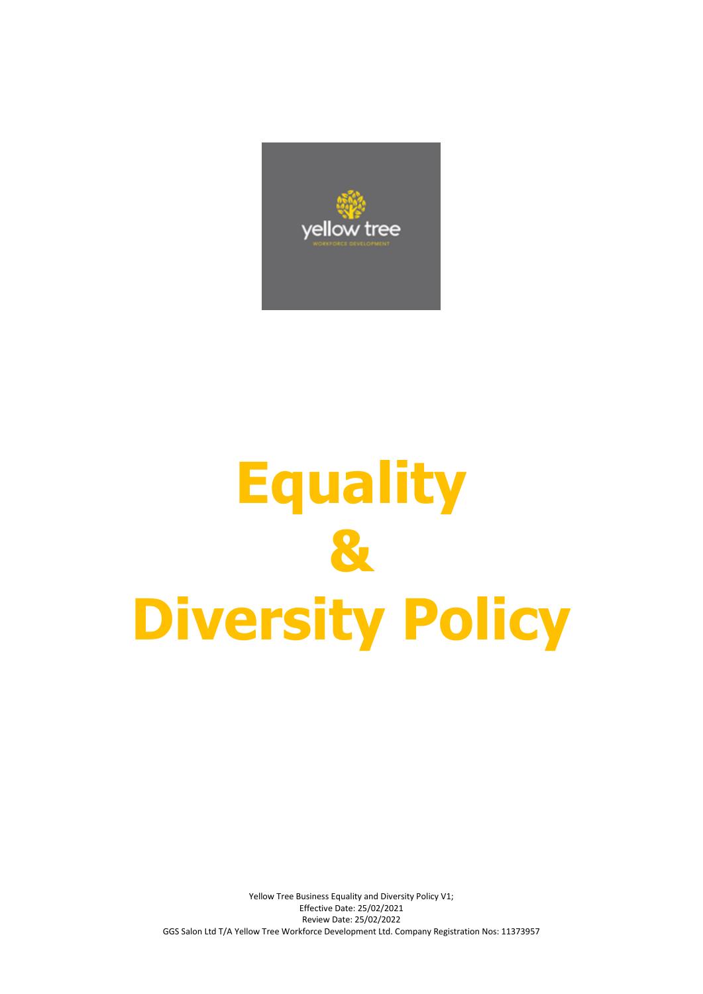

# **Equality & Diversity Policy**

Yellow Tree Business Equality and Diversity Policy V1; Effective Date: 25/02/2021 Review Date: 25/02/2022 GGS Salon Ltd T/A Yellow Tree Workforce Development Ltd. Company Registration Nos: 11373957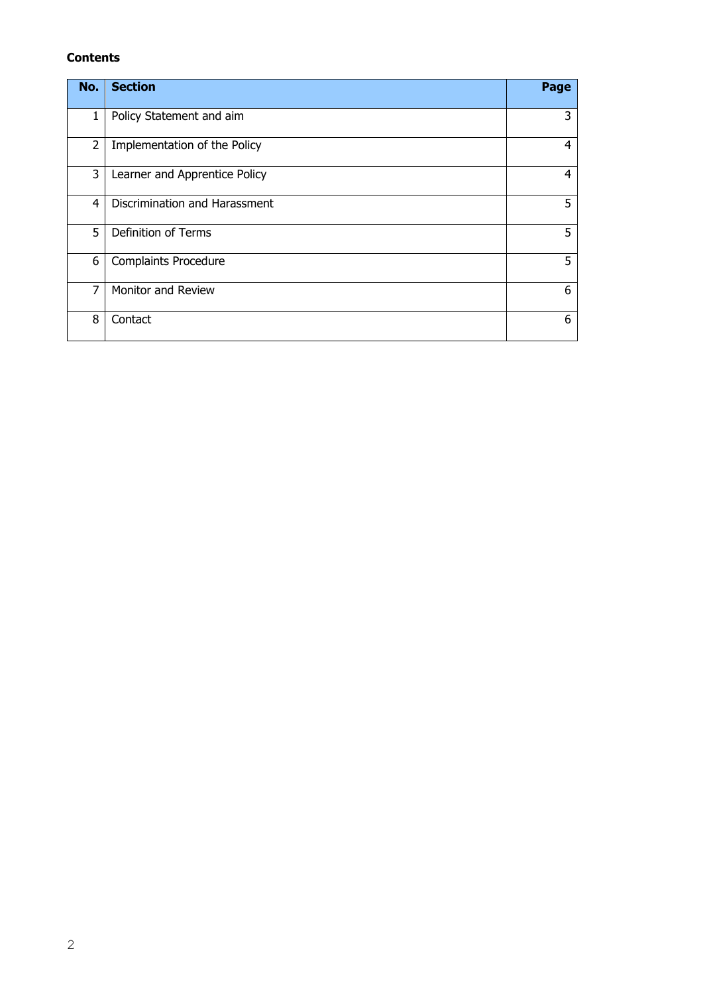# **Contents**

| No.            | <b>Section</b>                | Page |
|----------------|-------------------------------|------|
| $\mathbf{1}$   | Policy Statement and aim      | 3    |
| 2              | Implementation of the Policy  | 4    |
| 3              | Learner and Apprentice Policy | 4    |
| 4              | Discrimination and Harassment | 5    |
| 5              | <b>Definition of Terms</b>    | 5    |
| 6              | Complaints Procedure          | 5    |
| $\overline{7}$ | <b>Monitor and Review</b>     | 6    |
| 8              | Contact                       | 6    |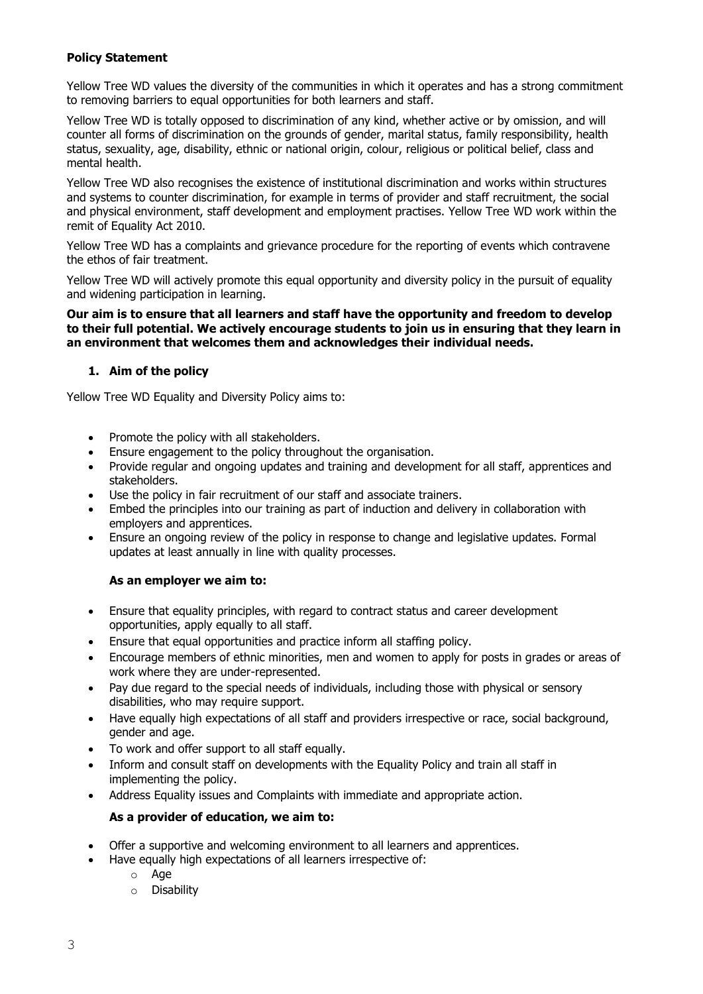# **Policy Statement**

Yellow Tree WD values the diversity of the communities in which it operates and has a strong commitment to removing barriers to equal opportunities for both learners and staff.

Yellow Tree WD is totally opposed to discrimination of any kind, whether active or by omission, and will counter all forms of discrimination on the grounds of gender, marital status, family responsibility, health status, sexuality, age, disability, ethnic or national origin, colour, religious or political belief, class and mental health.

Yellow Tree WD also recognises the existence of institutional discrimination and works within structures and systems to counter discrimination, for example in terms of provider and staff recruitment, the social and physical environment, staff development and employment practises. Yellow Tree WD work within the remit of Equality Act 2010.

Yellow Tree WD has a complaints and grievance procedure for the reporting of events which contravene the ethos of fair treatment.

Yellow Tree WD will actively promote this equal opportunity and diversity policy in the pursuit of equality and widening participation in learning.

#### **Our aim is to ensure that all learners and staff have the opportunity and freedom to develop to their full potential. We actively encourage students to join us in ensuring that they learn in an environment that welcomes them and acknowledges their individual needs.**

## **1. Aim of the policy**

Yellow Tree WD Equality and Diversity Policy aims to:

- Promote the policy with all stakeholders.
- Ensure engagement to the policy throughout the organisation.
- Provide regular and ongoing updates and training and development for all staff, apprentices and stakeholders.
- Use the policy in fair recruitment of our staff and associate trainers.
- Embed the principles into our training as part of induction and delivery in collaboration with employers and apprentices.
- Ensure an ongoing review of the policy in response to change and legislative updates. Formal updates at least annually in line with quality processes.

## **As an employer we aim to:**

- Ensure that equality principles, with regard to contract status and career development opportunities, apply equally to all staff.
- Ensure that equal opportunities and practice inform all staffing policy.
- Encourage members of ethnic minorities, men and women to apply for posts in grades or areas of work where they are under-represented.
- Pay due regard to the special needs of individuals, including those with physical or sensory disabilities, who may require support.
- Have equally high expectations of all staff and providers irrespective or race, social background, gender and age.
- To work and offer support to all staff equally.
- Inform and consult staff on developments with the Equality Policy and train all staff in implementing the policy.
- Address Equality issues and Complaints with immediate and appropriate action.

## **As a provider of education, we aim to:**

- Offer a supportive and welcoming environment to all learners and apprentices.
- Have equally high expectations of all learners irrespective of:
	- o Age
	- o Disability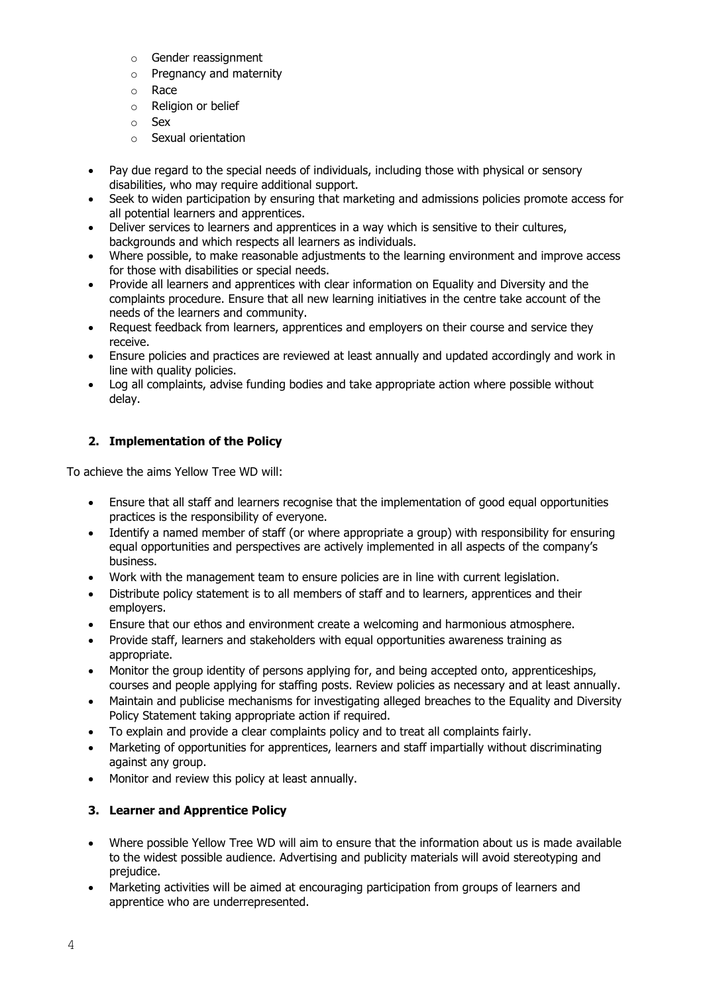- o Gender reassignment
- o Pregnancy and maternity
- o Race
- o Religion or belief
- o Sex
- o Sexual orientation
- Pay due regard to the special needs of individuals, including those with physical or sensory disabilities, who may require additional support.
- Seek to widen participation by ensuring that marketing and admissions policies promote access for all potential learners and apprentices.
- Deliver services to learners and apprentices in a way which is sensitive to their cultures, backgrounds and which respects all learners as individuals.
- Where possible, to make reasonable adjustments to the learning environment and improve access for those with disabilities or special needs.
- Provide all learners and apprentices with clear information on Equality and Diversity and the complaints procedure. Ensure that all new learning initiatives in the centre take account of the needs of the learners and community.
- Request feedback from learners, apprentices and employers on their course and service they receive.
- Ensure policies and practices are reviewed at least annually and updated accordingly and work in line with quality policies.
- Log all complaints, advise funding bodies and take appropriate action where possible without delay.

# **2. Implementation of the Policy**

To achieve the aims Yellow Tree WD will:

- Ensure that all staff and learners recognise that the implementation of good equal opportunities practices is the responsibility of everyone.
- Identify a named member of staff (or where appropriate a group) with responsibility for ensuring equal opportunities and perspectives are actively implemented in all aspects of the company's business.
- Work with the management team to ensure policies are in line with current legislation.
- Distribute policy statement is to all members of staff and to learners, apprentices and their employers.
- Ensure that our ethos and environment create a welcoming and harmonious atmosphere.
- Provide staff, learners and stakeholders with equal opportunities awareness training as appropriate.
- Monitor the group identity of persons applying for, and being accepted onto, apprenticeships, courses and people applying for staffing posts. Review policies as necessary and at least annually.
- Maintain and publicise mechanisms for investigating alleged breaches to the Equality and Diversity Policy Statement taking appropriate action if required.
- To explain and provide a clear complaints policy and to treat all complaints fairly.
- Marketing of opportunities for apprentices, learners and staff impartially without discriminating against any group.
- Monitor and review this policy at least annually.

# **3. Learner and Apprentice Policy**

- Where possible Yellow Tree WD will aim to ensure that the information about us is made available to the widest possible audience. Advertising and publicity materials will avoid stereotyping and prejudice.
- Marketing activities will be aimed at encouraging participation from groups of learners and apprentice who are underrepresented.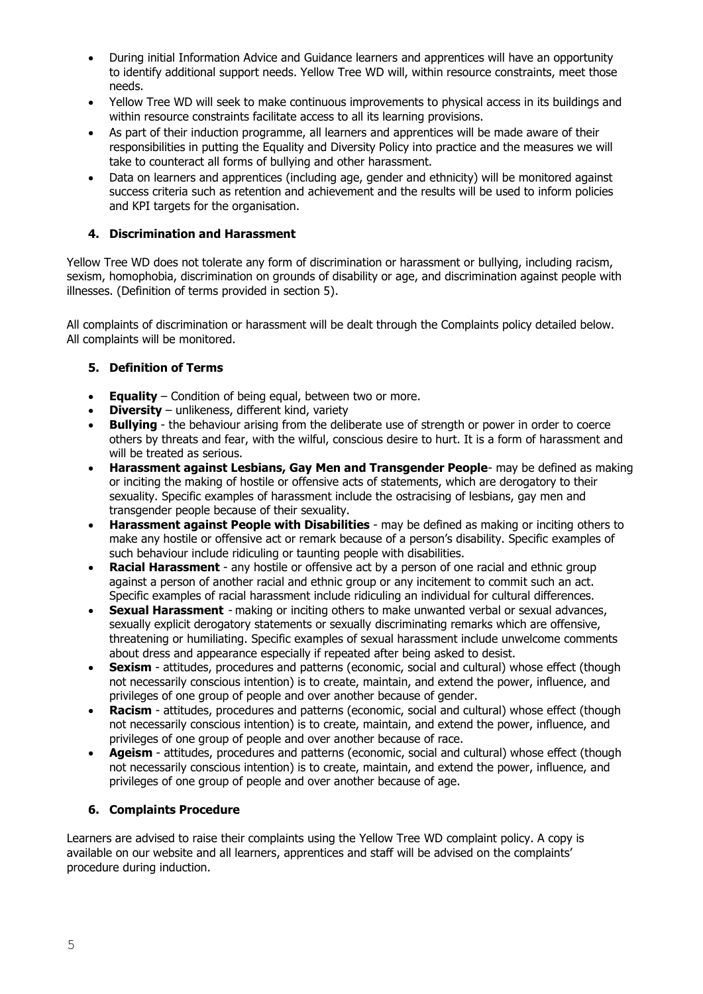- During initial Information Advice and Guidance learners and apprentices will have an opportunity to identify additional support needs. Yellow Tree WD will, within resource constraints, meet those needs.
- Yellow Tree WD will seek to make continuous improvements to physical access in its buildings and within resource constraints facilitate access to all its learning provisions.
- As part of their induction programme, all learners and apprentices will be made aware of their responsibilities in putting the Equality and Diversity Policy into practice and the measures we will take to counteract all forms of bullying and other harassment.
- Data on learners and apprentices (including age, gender and ethnicity) will be monitored against success criteria such as retention and achievement and the results will be used to inform policies and KPI targets for the organisation.

## **4. Discrimination and Harassment**

Yellow Tree WD does not tolerate any form of discrimination or harassment or bullying, including racism, sexism, homophobia, discrimination on grounds of disability or age, and discrimination against people with illnesses. (Definition of terms provided in section 5).

All complaints of discrimination or harassment will be dealt through the Complaints policy detailed below. All complaints will be monitored.

## **5. Definition of Terms**

- **Equality**  Condition of being equal, between two or more.
- **Diversity**  unlikeness, different kind, variety
- **Bullying**  the behaviour arising from the deliberate use of strength or power in order to coerce others by threats and fear, with the wilful, conscious desire to hurt. It is a form of harassment and will be treated as serious.
- **Harassment against Lesbians, Gay Men and Transgender People** may be defined as making or inciting the making of hostile or offensive acts of statements, which are derogatory to their sexuality. Specific examples of harassment include the ostracising of lesbians, gay men and transgender people because of their sexuality.
- **Harassment against People with Disabilities**  may be defined as making or inciting others to make any hostile or offensive act or remark because of a person's disability. Specific examples of such behaviour include ridiculing or taunting people with disabilities.
- **Racial Harassment**  any hostile or offensive act by a person of one racial and ethnic group against a person of another racial and ethnic group or any incitement to commit such an act. Specific examples of racial harassment include ridiculing an individual for cultural differences.
- **Sexual Harassment**  making or inciting others to make unwanted verbal or sexual advances, sexually explicit derogatory statements or sexually discriminating remarks which are offensive, threatening or humiliating. Specific examples of sexual harassment include unwelcome comments about dress and appearance especially if repeated after being asked to desist.
- **Sexism**  attitudes, procedures and patterns (economic, social and cultural) whose effect (though not necessarily conscious intention) is to create, maintain, and extend the power, influence, and privileges of one group of people and over another because of gender.
- **Racism**  attitudes, procedures and patterns (economic, social and cultural) whose effect (though not necessarily conscious intention) is to create, maintain, and extend the power, influence, and privileges of one group of people and over another because of race.
- **Ageism**  attitudes, procedures and patterns (economic, social and cultural) whose effect (though not necessarily conscious intention) is to create, maintain, and extend the power, influence, and privileges of one group of people and over another because of age.

### **6. Complaints Procedure**

Learners are advised to raise their complaints using the Yellow Tree WD complaint policy. A copy is available on our website and all learners, apprentices and staff will be advised on the complaints' procedure during induction.